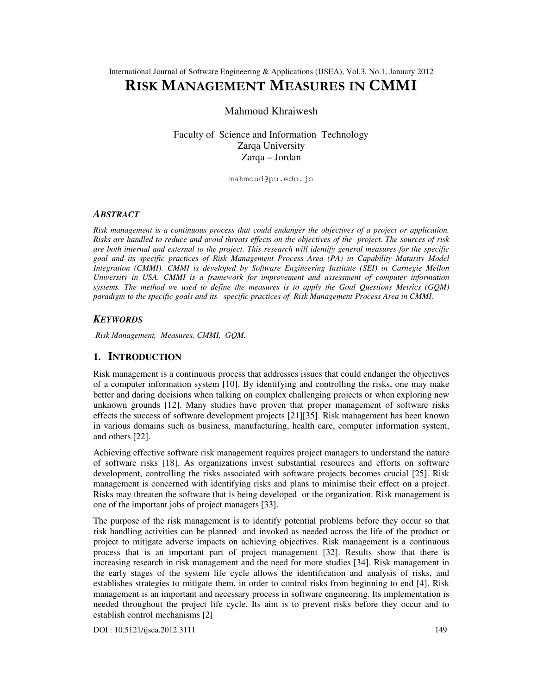# RISK MANAGEMENT MEASURES IN CMMI

Mahmoud Khraiwesh

Faculty of Science and Information Technology Zarqa University Zarqa – Jordan

mahmoud@pu.edu.jo

#### *ABSTRACT*

*Risk management is a continuous process that could endanger the objectives of a project or application. Risks are handled to reduce and avoid threats effects on the objectives of the project. The sources of risk are both internal and external to the project. This research will identify general measures for the specific goal and its specific practices of Risk Management Process Area (PA) in Capability Maturity Model Integration (CMMI). CMMI is developed by Software Engineering Institute (SEI) in Carnegie Mellon University in USA. CMMI is a framework for improvement and assessment of computer information systems. The method we used to define the measures is to apply the Goal Questions Metrics (GQM) paradigm to the specific goals and its specific practices of Risk Management Process Area in CMMI.* 

### *KEYWORDS*

*Risk Management, Measures, CMMI, GQM.* 

### **1. INTRODUCTION**

Risk management is a continuous process that addresses issues that could endanger the objectives of a computer information system [10]. By identifying and controlling the risks, one may make better and daring decisions when talking on complex challenging projects or when exploring new unknown grounds [12]. Many studies have proven that proper management of software risks effects the success of software development projects [21][35]. Risk management has been known in various domains such as business, manufacturing, health care, computer information system, and others [22].

Achieving effective software risk management requires project managers to understand the nature of software risks [18]. As organizations invest substantial resources and efforts on software development, controlling the risks associated with software projects becomes crucial [25]. Risk management is concerned with identifying risks and plans to minimise their effect on a project. Risks may threaten the software that is being developed or the organization. Risk management is one of the important jobs of project managers [33].

The purpose of the risk management is to identify potential problems before they occur so that risk handling activities can be planned and invoked as needed across the life of the product or project to mitigate adverse impacts on achieving objectives. Risk management is a continuous process that is an important part of project management [32]. Results show that there is increasing research in risk management and the need for more studies [34]. Risk management in the early stages of the system life cycle allows the identification and analysis of risks, and establishes strategies to mitigate them, in order to control risks from beginning to end [4]. Risk management is an important and necessary process in software engineering. Its implementation is needed throughout the project life cycle. Its aim is to prevent risks before they occur and to establish control mechanisms [2]

DOI : 10.5121/ijsea.2012.3111 149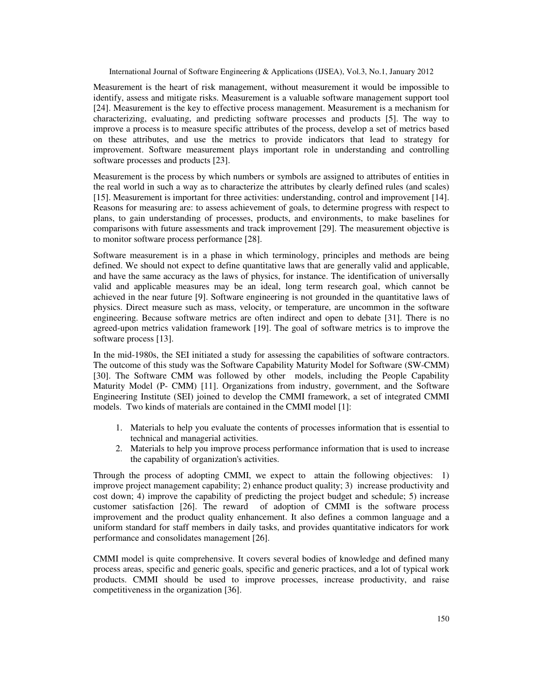Measurement is the heart of risk management, without measurement it would be impossible to identify, assess and mitigate risks. Measurement is a valuable software management support tool [24]. Measurement is the key to effective process management. Measurement is a mechanism for characterizing, evaluating, and predicting software processes and products [5]. The way to improve a process is to measure specific attributes of the process, develop a set of metrics based on these attributes, and use the metrics to provide indicators that lead to strategy for improvement. Software measurement plays important role in understanding and controlling software processes and products [23].

Measurement is the process by which numbers or symbols are assigned to attributes of entities in the real world in such a way as to characterize the attributes by clearly defined rules (and scales) [15]. Measurement is important for three activities: understanding, control and improvement [14]. Reasons for measuring are: to assess achievement of goals, to determine progress with respect to plans, to gain understanding of processes, products, and environments, to make baselines for comparisons with future assessments and track improvement [29]. The measurement objective is to monitor software process performance [28].

Software measurement is in a phase in which terminology, principles and methods are being defined. We should not expect to define quantitative laws that are generally valid and applicable, and have the same accuracy as the laws of physics, for instance. The identification of universally valid and applicable measures may be an ideal, long term research goal, which cannot be achieved in the near future [9]. Software engineering is not grounded in the quantitative laws of physics. Direct measure such as mass, velocity, or temperature, are uncommon in the software engineering. Because software metrics are often indirect and open to debate [31]. There is no agreed-upon metrics validation framework [19]. The goal of software metrics is to improve the software process [13].

In the mid-1980s, the SEI initiated a study for assessing the capabilities of software contractors. The outcome of this study was the Software Capability Maturity Model for Software (SW-CMM) [30]. The Software CMM was followed by other models, including the People Capability Maturity Model (P- CMM) [11]. Organizations from industry, government, and the Software Engineering Institute (SEI) joined to develop the CMMI framework, a set of integrated CMMI models. Two kinds of materials are contained in the CMMI model [1]:

- 1. Materials to help you evaluate the contents of processes information that is essential to technical and managerial activities.
- 2. Materials to help you improve process performance information that is used to increase the capability of organization's activities.

Through the process of adopting CMMI, we expect to attain the following objectives: 1) improve project management capability; 2) enhance product quality; 3) increase productivity and cost down; 4) improve the capability of predicting the project budget and schedule; 5) increase customer satisfaction [26]. The reward of adoption of CMMI is the software process improvement and the product quality enhancement. It also defines a common language and a uniform standard for staff members in daily tasks, and provides quantitative indicators for work performance and consolidates management [26].

CMMI model is quite comprehensive. It covers several bodies of knowledge and defined many process areas, specific and generic goals, specific and generic practices, and a lot of typical work products. CMMI should be used to improve processes, increase productivity, and raise competitiveness in the organization [36].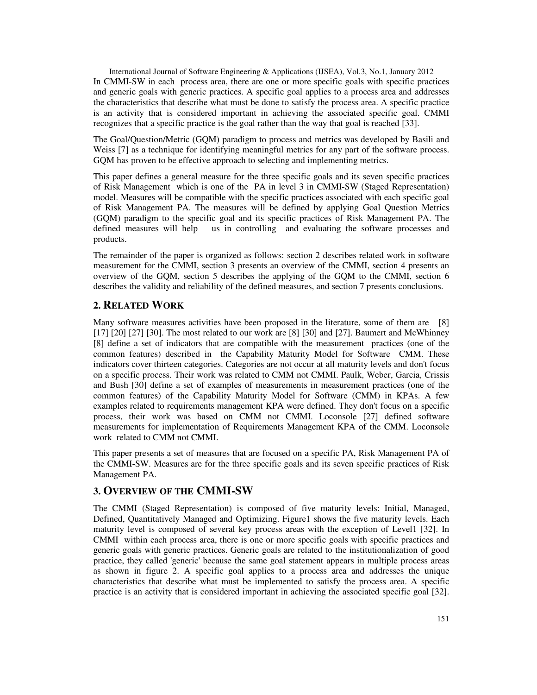International Journal of Software Engineering & Applications (IJSEA), Vol.3, No.1, January 2012 In CMMI-SW in each process area, there are one or more specific goals with specific practices and generic goals with generic practices. A specific goal applies to a process area and addresses the characteristics that describe what must be done to satisfy the process area. A specific practice is an activity that is considered important in achieving the associated specific goal. CMMI recognizes that a specific practice is the goal rather than the way that goal is reached [33].

The Goal/Question/Metric (GQM) paradigm to process and metrics was developed by Basili and Weiss [7] as a technique for identifying meaningful metrics for any part of the software process. GQM has proven to be effective approach to selecting and implementing metrics.

This paper defines a general measure for the three specific goals and its seven specific practices of Risk Management which is one of the PA in level 3 in CMMI-SW (Staged Representation) model. Measures will be compatible with the specific practices associated with each specific goal of Risk Management PA. The measures will be defined by applying Goal Question Metrics (GQM) paradigm to the specific goal and its specific practices of Risk Management PA. The defined measures will help us in controlling and evaluating the software processes and products.

The remainder of the paper is organized as follows: section 2 describes related work in software measurement for the CMMI, section 3 presents an overview of the CMMI, section 4 presents an overview of the GQM, section 5 describes the applying of the GQM to the CMMI, section 6 describes the validity and reliability of the defined measures, and section 7 presents conclusions.

# **2. RELATED WORK**

Many software measures activities have been proposed in the literature, some of them are [8] [17] [20] [27] [30]. The most related to our work are [8] [30] and [27]. Baumert and McWhinney [8] define a set of indicators that are compatible with the measurement practices (one of the common features) described in the Capability Maturity Model for Software CMM. These indicators cover thirteen categories. Categories are not occur at all maturity levels and don't focus on a specific process. Their work was related to CMM not CMMI. Paulk, Weber, Garcia, Crissis and Bush [30] define a set of examples of measurements in measurement practices (one of the common features) of the Capability Maturity Model for Software (CMM) in KPAs. A few examples related to requirements management KPA were defined. They don't focus on a specific process, their work was based on CMM not CMMI. Loconsole [27] defined software measurements for implementation of Requirements Management KPA of the CMM. Loconsole work related to CMM not CMMI.

This paper presents a set of measures that are focused on a specific PA, Risk Management PA of the CMMI-SW. Measures are for the three specific goals and its seven specific practices of Risk Management PA.

## **3. OVERVIEW OF THE CMMI-SW**

The CMMI (Staged Representation) is composed of five maturity levels: Initial, Managed, Defined, Quantitatively Managed and Optimizing. Figure1 shows the five maturity levels. Each maturity level is composed of several key process areas with the exception of Level1 [32]. In CMMI within each process area, there is one or more specific goals with specific practices and generic goals with generic practices. Generic goals are related to the institutionalization of good practice, they called 'generic' because the same goal statement appears in multiple process areas as shown in figure 2. A specific goal applies to a process area and addresses the unique characteristics that describe what must be implemented to satisfy the process area. A specific practice is an activity that is considered important in achieving the associated specific goal [32].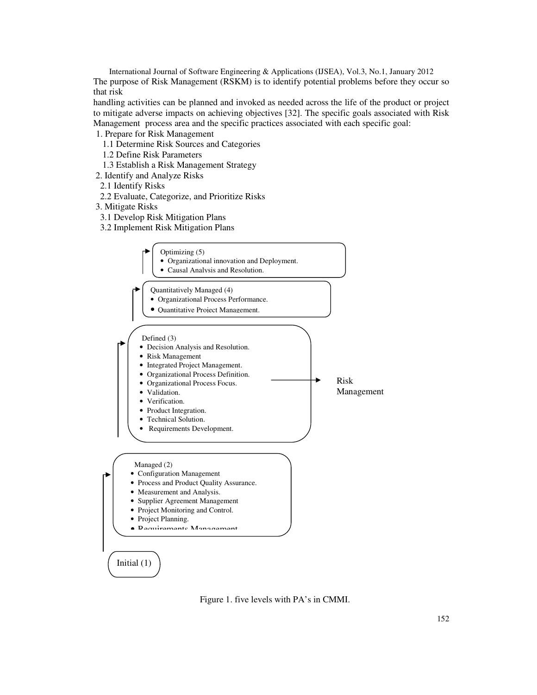International Journal of Software Engineering & Applications (IJSEA), Vol.3, No.1, January 2012 The purpose of Risk Management (RSKM) is to identify potential problems before they occur so that risk

handling activities can be planned and invoked as needed across the life of the product or project to mitigate adverse impacts on achieving objectives [32]. The specific goals associated with Risk Management process area and the specific practices associated with each specific goal:

### 1. Prepare for Risk Management

- 1.1 Determine Risk Sources and Categories
- 1.2 Define Risk Parameters
- 1.3 Establish a Risk Management Strategy
- 2. Identify and Analyze Risks
- 2.1 Identify Risks
- 2.2 Evaluate, Categorize, and Prioritize Risks
- 3. Mitigate Risks
- 3.1 Develop Risk Mitigation Plans
- 3.2 Implement Risk Mitigation Plans



Figure 1. five levels with PA's in CMMI.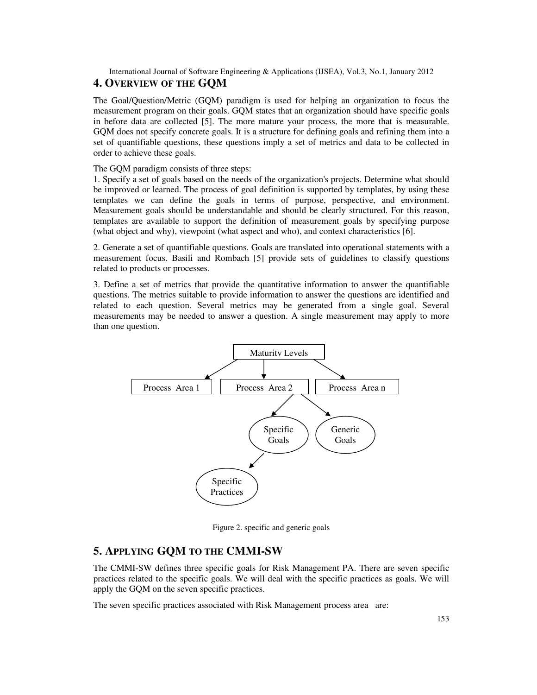# **4. OVERVIEW OF THE GQM**

The Goal/Question/Metric (GQM) paradigm is used for helping an organization to focus the measurement program on their goals. GQM states that an organization should have specific goals in before data are collected [5]. The more mature your process, the more that is measurable. GQM does not specify concrete goals. It is a structure for defining goals and refining them into a set of quantifiable questions, these questions imply a set of metrics and data to be collected in order to achieve these goals.

The GQM paradigm consists of three steps:

1. Specify a set of goals based on the needs of the organization's projects. Determine what should be improved or learned. The process of goal definition is supported by templates, by using these templates we can define the goals in terms of purpose, perspective, and environment. Measurement goals should be understandable and should be clearly structured. For this reason, templates are available to support the definition of measurement goals by specifying purpose (what object and why), viewpoint (what aspect and who), and context characteristics [6].

2. Generate a set of quantifiable questions. Goals are translated into operational statements with a measurement focus. Basili and Rombach [5] provide sets of guidelines to classify questions related to products or processes.

3. Define a set of metrics that provide the quantitative information to answer the quantifiable questions. The metrics suitable to provide information to answer the questions are identified and related to each question. Several metrics may be generated from a single goal. Several measurements may be needed to answer a question. A single measurement may apply to more than one question.



Figure 2. specific and generic goals

# **5. APPLYING GQM TO THE CMMI-SW**

The CMMI-SW defines three specific goals for Risk Management PA. There are seven specific practices related to the specific goals. We will deal with the specific practices as goals. We will apply the GQM on the seven specific practices.

The seven specific practices associated with Risk Management process area are: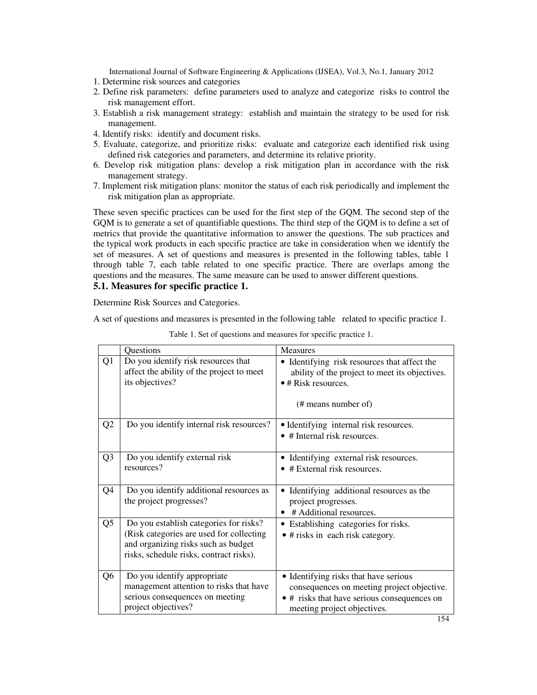- 1. Determine risk sources and categories
- 2. Define risk parameters: define parameters used to analyze and categorize risks to control the risk management effort.
- 3. Establish a risk management strategy: establish and maintain the strategy to be used for risk management.
- 4. Identify risks: identify and document risks.
- 5. Evaluate, categorize, and prioritize risks: evaluate and categorize each identified risk using defined risk categories and parameters, and determine its relative priority.
- 6. Develop risk mitigation plans: develop a risk mitigation plan in accordance with the risk management strategy.
- 7. Implement risk mitigation plans: monitor the status of each risk periodically and implement the risk mitigation plan as appropriate.

These seven specific practices can be used for the first step of the GQM. The second step of the GQM is to generate a set of quantifiable questions. The third step of the GQM is to define a set of metrics that provide the quantitative information to answer the questions. The sub practices and the typical work products in each specific practice are take in consideration when we identify the set of measures. A set of questions and measures is presented in the following tables, table 1 through table 7, each table related to one specific practice. There are overlaps among the questions and the measures. The same measure can be used to answer different questions.

### **5.1. Measures for specific practice 1.**

Determine Risk Sources and Categories.

A set of questions and measures is presented in the following table related to specific practice 1.

|                | Questions                                                                                                                                                            | <b>Measures</b>                                                                                                                                                   |  |  |
|----------------|----------------------------------------------------------------------------------------------------------------------------------------------------------------------|-------------------------------------------------------------------------------------------------------------------------------------------------------------------|--|--|
| Q1             | Do you identify risk resources that<br>affect the ability of the project to meet<br>its objectives?                                                                  | • Identifying risk resources that affect the<br>ability of the project to meet its objectives.<br>$\bullet$ # Risk resources.<br>$(\#$ means number of)           |  |  |
| Q2             | Do you identify internal risk resources?                                                                                                                             | • Identifying internal risk resources.<br>• # Internal risk resources.                                                                                            |  |  |
| Q <sub>3</sub> | Do you identify external risk<br>resources?                                                                                                                          | • Identifying external risk resources.<br># External risk resources.                                                                                              |  |  |
| Q4             | Do you identify additional resources as<br>the project progresses?                                                                                                   | Identifying additional resources as the<br>project progresses.<br># Additional resources.<br>٠                                                                    |  |  |
| Q <sub>5</sub> | Do you establish categories for risks?<br>(Risk categories are used for collecting<br>and organizing risks such as budget<br>risks, schedule risks, contract risks). | • Establishing categories for risks.<br>$\bullet$ # risks in each risk category.                                                                                  |  |  |
| Q <sub>6</sub> | Do you identify appropriate<br>management attention to risks that have<br>serious consequences on meeting<br>project objectives?                                     | • Identifying risks that have serious<br>consequences on meeting project objective.<br>• # risks that have serious consequences on<br>meeting project objectives. |  |  |

Table 1. Set of questions and measures for specific practice 1.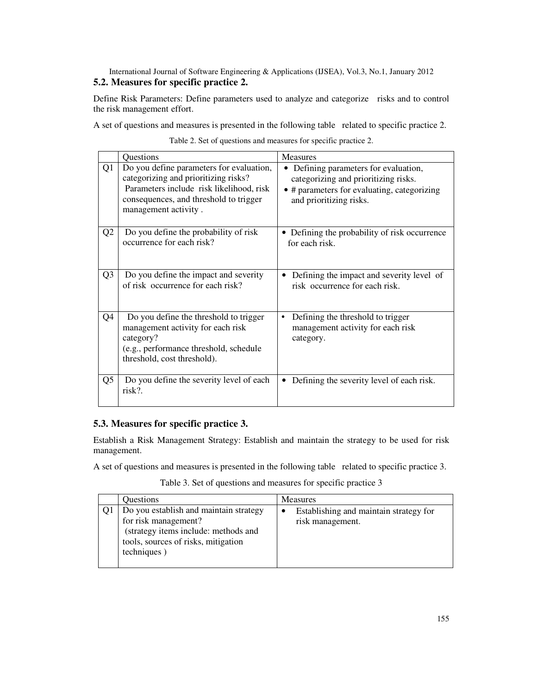## International Journal of Software Engineering & Applications (IJSEA), Vol.3, No.1, January 2012 **5.2. Measures for specific practice 2.**

Define Risk Parameters: Define parameters used to analyze and categorize risks and to control the risk management effort.

A set of questions and measures is presented in the following table related to specific practice 2.

|                | Questions                                                                                                                                                                                      | <b>Measures</b>                                                                                                                                         |  |
|----------------|------------------------------------------------------------------------------------------------------------------------------------------------------------------------------------------------|---------------------------------------------------------------------------------------------------------------------------------------------------------|--|
| Q1             | Do you define parameters for evaluation,<br>categorizing and prioritizing risks?<br>Parameters include risk likelihood, risk<br>consequences, and threshold to trigger<br>management activity. | • Defining parameters for evaluation,<br>categorizing and prioritizing risks.<br>• # parameters for evaluating, categorizing<br>and prioritizing risks. |  |
| Q <sub>2</sub> | Do you define the probability of risk<br>occurrence for each risk?                                                                                                                             | Defining the probability of risk occurrence<br>٠<br>for each risk.                                                                                      |  |
| Q <sub>3</sub> | Do you define the impact and severity<br>of risk occurrence for each risk?                                                                                                                     | Defining the impact and severity level of<br>risk occurrence for each risk.                                                                             |  |
| Q4             | Do you define the threshold to trigger<br>management activity for each risk<br>category?<br>(e.g., performance threshold, schedule<br>threshold, cost threshold).                              | Defining the threshold to trigger<br>management activity for each risk<br>category.                                                                     |  |
| Q5             | Do you define the severity level of each<br>risk?.                                                                                                                                             | Defining the severity level of each risk.                                                                                                               |  |

Table 2. Set of questions and measures for specific practice 2.

# **5.3. Measures for specific practice 3.**

 Establish a Risk Management Strategy: Establish and maintain the strategy to be used for risk management.

A set of questions and measures is presented in the following table related to specific practice 3.

Table 3. Set of questions and measures for specific practice 3

| <b>Ouestions</b>                                                                                                                                             | <b>Measures</b>                                            |
|--------------------------------------------------------------------------------------------------------------------------------------------------------------|------------------------------------------------------------|
| Do you establish and maintain strategy<br>for risk management?<br>(strategy items include: methods and<br>tools, sources of risks, mitigation<br>techniques) | Establishing and maintain strategy for<br>risk management. |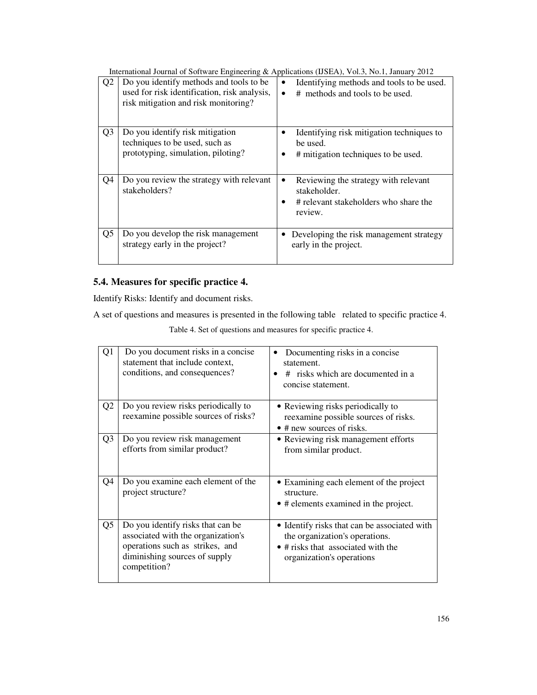| Q2             | Do you identify methods and tools to be<br>used for risk identification, risk analysis,<br>risk mitigation and risk monitoring? | Identifying methods and tools to be used.<br># methods and tools to be used.<br>$\bullet$                |
|----------------|---------------------------------------------------------------------------------------------------------------------------------|----------------------------------------------------------------------------------------------------------|
| Q <sub>3</sub> | Do you identify risk mitigation<br>techniques to be used, such as<br>prototyping, simulation, piloting?                         | Identifying risk mitigation techniques to<br>be used.<br># mitigation techniques to be used.             |
| Q4             | Do you review the strategy with relevant<br>stakeholders?                                                                       | Reviewing the strategy with relevant<br>stakeholder.<br># relevant stakeholders who share the<br>review. |
| Q <sub>5</sub> | Do you develop the risk management<br>strategy early in the project?                                                            | Developing the risk management strategy<br>early in the project.                                         |

# **5.4. Measures for specific practice 4.**

Identify Risks: Identify and document risks.

A set of questions and measures is presented in the following table related to specific practice 4.

Table 4. Set of questions and measures for specific practice 4.

| Ql             | Do you document risks in a concise<br>statement that include context,<br>conditions, and consequences?                                                      | Documenting risks in a concise<br>statement.<br># risks which are documented in a<br>concise statement.                                           |
|----------------|-------------------------------------------------------------------------------------------------------------------------------------------------------------|---------------------------------------------------------------------------------------------------------------------------------------------------|
| Q <sub>2</sub> | Do you review risks periodically to<br>reexamine possible sources of risks?                                                                                 | • Reviewing risks periodically to<br>reexamine possible sources of risks.<br>$\bullet$ # new sources of risks.                                    |
| Q <sub>3</sub> | Do you review risk management<br>efforts from similar product?                                                                                              | • Reviewing risk management efforts<br>from similar product.                                                                                      |
| Q4             | Do you examine each element of the<br>project structure?                                                                                                    | • Examining each element of the project<br>structure.<br>• # elements examined in the project.                                                    |
| Q <sub>5</sub> | Do you identify risks that can be<br>associated with the organization's<br>operations such as strikes, and<br>diminishing sources of supply<br>competition? | • Identify risks that can be associated with<br>the organization's operations.<br>• # risks that associated with the<br>organization's operations |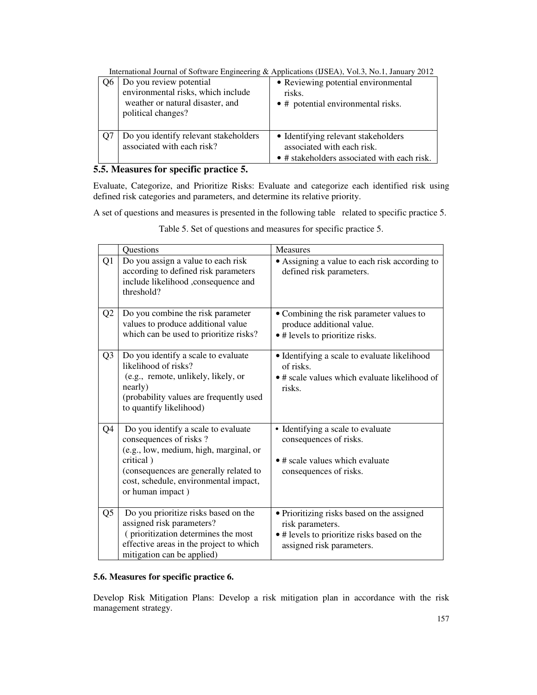| Do you review potential<br>environmental risks, which include<br>weather or natural disaster, and<br>political changes? | • Reviewing potential environmental<br>risks.<br>$\bullet$ # potential environmental risks.                      |
|-------------------------------------------------------------------------------------------------------------------------|------------------------------------------------------------------------------------------------------------------|
| Do you identify relevant stakeholders<br>associated with each risk?                                                     | • Identifying relevant stakeholders<br>associated with each risk.<br>• # stakeholders associated with each risk. |

# **5.5. Measures for specific practice 5.**

 Evaluate, Categorize, and Prioritize Risks: Evaluate and categorize each identified risk using defined risk categories and parameters, and determine its relative priority.

A set of questions and measures is presented in the following table related to specific practice 5.

|                | Questions                                                                                                                                                                                                                   | <b>Measures</b>                                                                                                                            |  |  |
|----------------|-----------------------------------------------------------------------------------------------------------------------------------------------------------------------------------------------------------------------------|--------------------------------------------------------------------------------------------------------------------------------------------|--|--|
| Q1             | Do you assign a value to each risk<br>according to defined risk parameters<br>include likelihood ,consequence and<br>threshold?                                                                                             | • Assigning a value to each risk according to<br>defined risk parameters.                                                                  |  |  |
| Q <sub>2</sub> | Do you combine the risk parameter<br>values to produce additional value<br>which can be used to prioritize risks?                                                                                                           | • Combining the risk parameter values to<br>produce additional value.<br>• # levels to prioritize risks.                                   |  |  |
| Q <sub>3</sub> | Do you identify a scale to evaluate<br>likelihood of risks?<br>(e.g., remote, unlikely, likely, or<br>nearly)<br>(probability values are frequently used<br>to quantify likelihood)                                         | • Identifying a scale to evaluate likelihood<br>of risks.<br>• # scale values which evaluate likelihood of<br>risks.                       |  |  |
| Q4             | Do you identify a scale to evaluate<br>consequences of risks?<br>(e.g., low, medium, high, marginal, or<br>critical)<br>(consequences are generally related to<br>cost, schedule, environmental impact,<br>or human impact) | • Identifying a scale to evaluate<br>consequences of risks.<br>• # scale values which evaluate<br>consequences of risks.                   |  |  |
| Q <sub>5</sub> | Do you prioritize risks based on the<br>assigned risk parameters?<br>(prioritization determines the most<br>effective areas in the project to which<br>mitigation can be applied)                                           | • Prioritizing risks based on the assigned<br>risk parameters.<br>. # levels to prioritize risks based on the<br>assigned risk parameters. |  |  |

Table 5. Set of questions and measures for specific practice 5.

### **5.6. Measures for specific practice 6.**

Develop Risk Mitigation Plans: Develop a risk mitigation plan in accordance with the risk management strategy.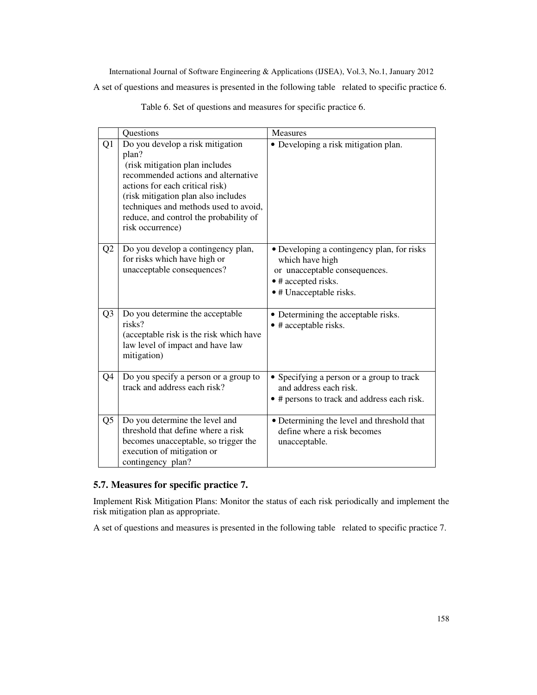International Journal of Software Engineering & Applications (IJSEA), Vol.3, No.1, January 2012 A set of questions and measures is presented in the following table related to specific practice 6.

|                | Questions                                                                                                                                                                                                                                                                                           | Measures                                                                                                                                         |
|----------------|-----------------------------------------------------------------------------------------------------------------------------------------------------------------------------------------------------------------------------------------------------------------------------------------------------|--------------------------------------------------------------------------------------------------------------------------------------------------|
| Q1             | Do you develop a risk mitigation<br>plan?<br>(risk mitigation plan includes<br>recommended actions and alternative<br>actions for each critical risk)<br>(risk mitigation plan also includes<br>techniques and methods used to avoid,<br>reduce, and control the probability of<br>risk occurrence) | • Developing a risk mitigation plan.                                                                                                             |
| Q <sub>2</sub> | Do you develop a contingency plan,<br>for risks which have high or<br>unacceptable consequences?                                                                                                                                                                                                    | • Developing a contingency plan, for risks<br>which have high<br>or unacceptable consequences.<br>• # accepted risks.<br>• # Unacceptable risks. |
| Q <sub>3</sub> | Do you determine the acceptable<br>risks?<br>(acceptable risk is the risk which have<br>law level of impact and have law<br>mitigation)                                                                                                                                                             | • Determining the acceptable risks.<br>$\bullet$ # acceptable risks.                                                                             |
| Q4             | Do you specify a person or a group to<br>track and address each risk?                                                                                                                                                                                                                               | • Specifying a person or a group to track<br>and address each risk.<br>• # persons to track and address each risk.                               |
| Q <sub>5</sub> | Do you determine the level and<br>threshold that define where a risk<br>becomes unacceptable, so trigger the<br>execution of mitigation or<br>contingency plan?                                                                                                                                     | • Determining the level and threshold that<br>define where a risk becomes<br>unacceptable.                                                       |

Table 6. Set of questions and measures for specific practice 6.

## **5.7. Measures for specific practice 7.**

Implement Risk Mitigation Plans: Monitor the status of each risk periodically and implement the risk mitigation plan as appropriate.

A set of questions and measures is presented in the following table related to specific practice 7.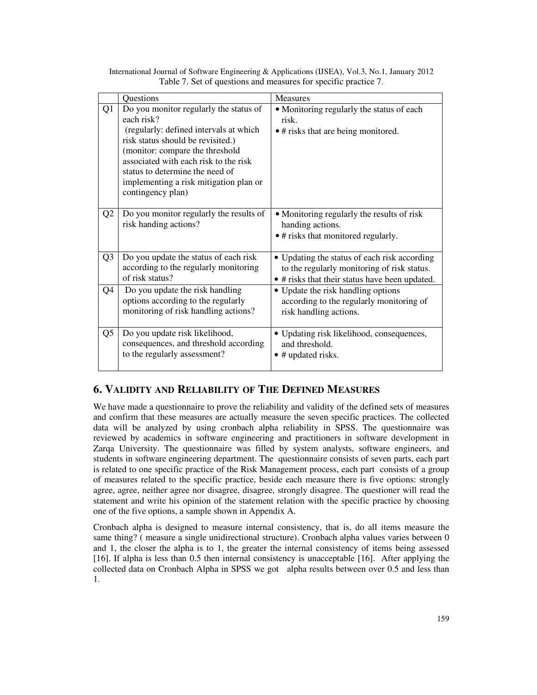|    | Questions                                                                                                                                                                                                                                                                                                         | <b>Measures</b>                                                                                                                               |
|----|-------------------------------------------------------------------------------------------------------------------------------------------------------------------------------------------------------------------------------------------------------------------------------------------------------------------|-----------------------------------------------------------------------------------------------------------------------------------------------|
| Q1 | Do you monitor regularly the status of<br>each risk?<br>(regularly: defined intervals at which<br>risk status should be revisited.)<br>(monitor: compare the threshold<br>associated with each risk to the risk<br>status to determine the need of<br>implementing a risk mitigation plan or<br>contingency plan) | • Monitoring regularly the status of each<br>risk.<br>• # risks that are being monitored.                                                     |
| Q2 | Do you monitor regularly the results of<br>risk handing actions?                                                                                                                                                                                                                                                  | • Monitoring regularly the results of risk<br>handing actions.<br>• # risks that monitored regularly.                                         |
| Q3 | Do you update the status of each risk<br>according to the regularly monitoring<br>of risk status?                                                                                                                                                                                                                 | • Updating the status of each risk according<br>to the regularly monitoring of risk status.<br>• # risks that their status have been updated. |
| Q4 | Do you update the risk handling<br>options according to the regularly<br>monitoring of risk handling actions?                                                                                                                                                                                                     | • Update the risk handling options<br>according to the regularly monitoring of<br>risk handling actions.                                      |
| Q5 | Do you update risk likelihood,<br>consequences, and threshold according<br>to the regularly assessment?                                                                                                                                                                                                           | • Updating risk likelihood, consequences,<br>and threshold.<br>• # updated risks.                                                             |

International Journal of Software Engineering & Applications (IJSEA), Vol.3, No.1, January 2012 Table 7. Set of questions and measures for specific practice 7.

# **6. VALIDITY AND RELIABILITY OF THE DEFINED MEASURES**

We have made a questionnaire to prove the reliability and validity of the defined sets of measures and confirm that these measures are actually measure the seven specific practices. The collected data will be analyzed by using cronbach alpha reliability in SPSS. The questionnaire was reviewed by academics in software engineering and practitioners in software development in Zarqa University. The questionnaire was filled by system analysts, software engineers, and students in software engineering department. The questionnaire consists of seven parts, each part is related to one specific practice of the Risk Management process, each part consists of a group of measures related to the specific practice, beside each measure there is five options: strongly agree, agree, neither agree nor disagree, disagree, strongly disagree. The questioner will read the statement and write his opinion of the statement relation with the specific practice by choosing one of the five options, a sample shown in Appendix A.

Cronbach alpha is designed to measure internal consistency, that is, do all items measure the same thing? ( measure a single unidirectional structure). Cronbach alpha values varies between 0 and 1, the closer the alpha is to 1, the greater the internal consistency of items being assessed [16]. If alpha is less than 0.5 then internal consistency is unacceptable [16]. After applying the collected data on Cronbach Alpha in SPSS we got alpha results between over 0.5 and less than 1.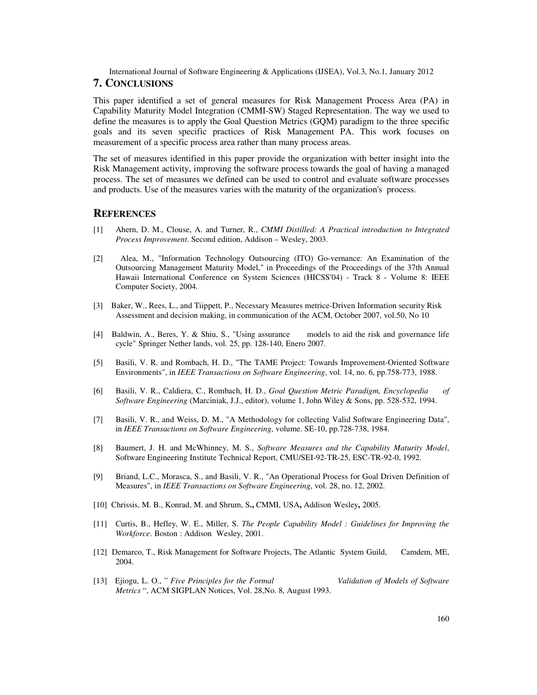#### **7. CONCLUSIONS**

This paper identified a set of general measures for Risk Management Process Area (PA) in Capability Maturity Model Integration (CMMI-SW) Staged Representation. The way we used to define the measures is to apply the Goal Question Metrics (GQM) paradigm to the three specific goals and its seven specific practices of Risk Management PA. This work focuses on measurement of a specific process area rather than many process areas.

The set of measures identified in this paper provide the organization with better insight into the Risk Management activity, improving the software process towards the goal of having a managed process. The set of measures we defined can be used to control and evaluate software processes and products. Use of the measures varies with the maturity of the organization's process.

### **REFERENCES**

- [1] Ahern, D. M., Clouse, A. and Turner, R., *CMMI Distilled: A Practical introduction to Integrated Process Improvement*. Second edition, Addison – Wesley, 2003.
- [2] Alea, M., "Information Technology Outsourcing (ITO) Go-vernance: An Examination of the Outsourcing Management Maturity Model," in Proceedings of the Proceedings of the 37th Annual Hawaii International Conference on System Sciences (HICSS'04) - Track 8 - Volume 8: IEEE Computer Society, 2004.
- [3] Baker, W., Rees, L., and Tiippett, P., Necessary Measures metrice-Driven Information security Risk Assessment and decision making, in communication of the ACM, October 2007, vol.50, No 10
- [4] Baldwin, A., Beres, Y. & Shiu, S., "Using assurance models to aid the risk and governance life cycle" Springer Nether lands, vol. 25, pp. 128-140, Enero 2007.
- [5] Basili, V. R. and Rombach, H. D., "The TAME Project: Towards Improvement-Oriented Software Environments", in *IEEE Transactions on Software Engineering*, vol. 14, no. 6, pp.758-773, 1988.
- [6] Basili, V. R., Caldiera, C., Rombach, H. D., *Goal Question Metric Paradigm, Encyclopedia of Software Engineering* (Marciniak, J.J., editor), volume 1, John Wiley & Sons, pp. 528-532, 1994.
- [7] Basili, V. R., and Weiss, D. M., "A Methodology for collecting Valid Software Engineering Data", in *IEEE Transactions on Software Engineering*, volume. SE-10, pp.728-738, 1984.
- [8] Baumert, J. H. and McWhinney, M. S., *Software Measures and the Capability Maturity Model*, Software Engineering Institute Technical Report, CMU/SEI-92-TR-25, ESC-TR-92-0, 1992.
- [9] Briand, L.C., Morasca, S., and Basili, V. R., "An Operational Process for Goal Driven Definition of Measures", in *IEEE Transactions on Software Engineering*, vol. 28, no. 12, 2002.
- [10]Chrissis, M. B., Konrad, M. and Shrum, S**.,** CMMI, USA**,** Addison Wesley**,** 2005.
- [11] Curtis, B., Hefley, W. E., Miller, S. *The People Capability Model : Guidelines for Improving the Workforce*. Boston : Addison Wesley, 2001.
- [12] Demarco, T., Risk Management for Software Projects, The Atlantic System Guild, Camdem, ME, 2004.
- [13] Ejiogu, L. O., " *Five Principles for the Formal Validation of Models of Software Metrics* ", ACM SIGPLAN Notices, Vol. 28,No. 8, August 1993.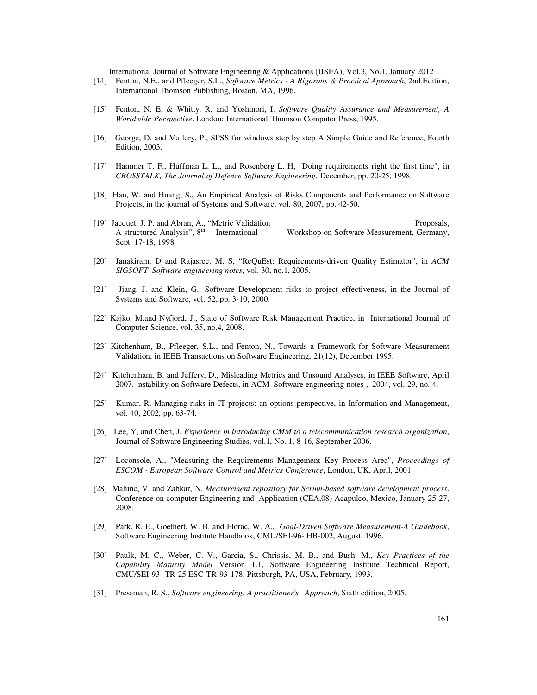- [14] Fenton, N.E., and Pfleeger, S.L., *Software Metrics A Rigorous & Practical Approach*, 2nd Edition, International Thomson Publishing, Boston, MA, 1996.
- [15] Fenton, N. E. & Whitty, R. and Yoshinori, I. *Software Quality Assurance and Measurement, A Worldwide Perspective*. London: International Thomson Computer Press, 1995.
- [16] George, D. and Mallery, P., SPSS for windows step by step A Simple Guide and Reference, Fourth Edition, 2003.
- [17] Hammer T. F., Huffman L. L., and Rosenberg L. H, "Doing requirements right the first time", in *CROSSTALK, The Journal of Defence Software Engineering*, December, pp. 20-25, 1998.
- [18] Han, W. and Huang, S., An Empirical Analysis of Risks Components and Performance on Software Projects, in the journal of Systems and Software, vol. 80, 2007, pp. 42-50.
- [19] Jacquet, J. P. and Abran, A., "Metric Validation Proposals, A structured Analysis", 8<sup>th</sup> International Workshop on Software Measurement, Germany, Sept. 17-18, 1998.
- [20] Janakiram. D and Rajasree. M. S, "ReQuEst: Requirements-driven Quality Estimator", in *ACM SIGSOFT Software engineering notes*, vol. 30, no.1, 2005.
- [21] Jiang, J. and Klein, G., Software Development risks to project effectiveness, in the Journal of Systems and Software, vol. 52, pp. 3-10, 2000.
- [22] Kajko, M.and Nyfjord, J., State of Software Risk Management Practice, in International Journal of Computer Science, vol. 35, no.4, 2008.
- [23] Kitchenham, B., Pfleeger, S.L., and Fenton, N., Towards a Framework for Software Measurement Validation, in IEEE Transactions on Software Engineering, 21(12), December 1995.
- [24] Kitchenham, B. and Jeffery, D., Misleading Metrics and Unsound Analyses, in IEEE Software, April 2007. nstability on Software Defects, in ACM Software engineering notes , 2004, vol. 29, no. 4.
- [25] Kumar, R. Managing risks in IT projects: an options perspective, in Information and Management, vol. 40, 2002, pp. 63-74.
- [26] Lee, Y, and Chen, J. *Experience in introducing CMM to a telecommunication research organization*, Journal of Software Engineering Studies, vol.1, No. 1, 8-16, September 2006.
- [27] Loconsole, A., "Measuring the Requirements Management Key Process Area", *Proceedings of ESCOM - European Software Control and Metrics Conference*, London, UK, April, 2001.
- [28] Mahinc, V. and Zabkar, N. *Measurement repository for Scrum-based software development process*. Conference on computer Engineering and Application (CEA,08) Acapulco, Mexico, January 25-27, 2008.
- [29] Park, R. E., Goethert, W. B. and Florac, W. A., *Goal-Driven Software Measurement-A Guidebook*, Software Engineering Institute Handbook, CMU/SEI-96- HB-002, August, 1996.
- [30] Paulk, M. C., Weber, C. V., Garcia, S., Chrissis, M. B., and Bush, M., *Key Practices of the Capability Maturity Model* Version 1.1, Software Engineering Institute Technical Report, CMU/SEI-93- TR-25 ESC-TR-93-178, Pittsburgh, PA, USA, February, 1993.
- [31] Pressman, R. S., *Software engineering: A practitioner's Approach*, Sixth edition, 2005.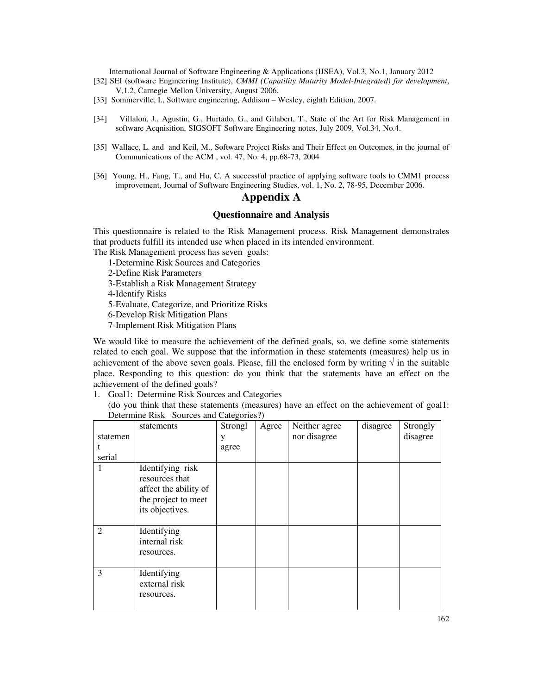- [32] SEI (software Engineering Institute), *CMMI (Capatility Maturity Model-Integrated) for development*, V,1.2, Carnegie Mellon University, August 2006.
- [33] Sommerville, I., Software engineering, Addison Wesley, eighth Edition, 2007.
- [34] Villalon, J., Agustin, G., Hurtado, G., and Gilabert, T., State of the Art for Risk Management in software Acqnisition, SIGSOFT Software Engineering notes, July 2009, Vol.34, No.4.
- [35] Wallace, L. and and Keil, M., Software Project Risks and Their Effect on Outcomes, in the journal of Communications of the ACM , vol. 47, No. 4, pp.68-73, 2004
- [36] Young, H., Fang, T., and Hu, C. A successful practice of applying software tools to CMM1 process improvement, Journal of Software Engineering Studies, vol. 1, No. 2, 78-95, December 2006.

# **Appendix A**

### **Questionnaire and Analysis**

This questionnaire is related to the Risk Management process. Risk Management demonstrates that products fulfill its intended use when placed in its intended environment.

The Risk Management process has seven goals:

1-Determine Risk Sources and Categories

2-Define Risk Parameters

3-Establish a Risk Management Strategy

4-Identify Risks

5-Evaluate, Categorize, and Prioritize Risks

6-Develop Risk Mitigation Plans

7-Implement Risk Mitigation Plans

We would like to measure the achievement of the defined goals, so, we define some statements related to each goal. We suppose that the information in these statements (measures) help us in achievement of the above seven goals. Please, fill the enclosed form by writing  $\sqrt{\ }$  in the suitable place. Responding to this question: do you think that the statements have an effect on the achievement of the defined goals?

1. Goal1: Determine Risk Sources and Categories

(do you think that these statements (measures) have an effect on the achievement of goal1: Determine Risk Sources and Categories?)

| statemen<br>t  | statements                                                                                            | Strongl<br>у<br>agree | Agree | Neither agree<br>nor disagree | disagree | Strongly<br>disagree |
|----------------|-------------------------------------------------------------------------------------------------------|-----------------------|-------|-------------------------------|----------|----------------------|
| serial         |                                                                                                       |                       |       |                               |          |                      |
| 1              | Identifying risk<br>resources that<br>affect the ability of<br>the project to meet<br>its objectives. |                       |       |                               |          |                      |
| $\overline{2}$ | Identifying<br>internal risk<br>resources.                                                            |                       |       |                               |          |                      |
| 3              | Identifying<br>external risk<br>resources.                                                            |                       |       |                               |          |                      |